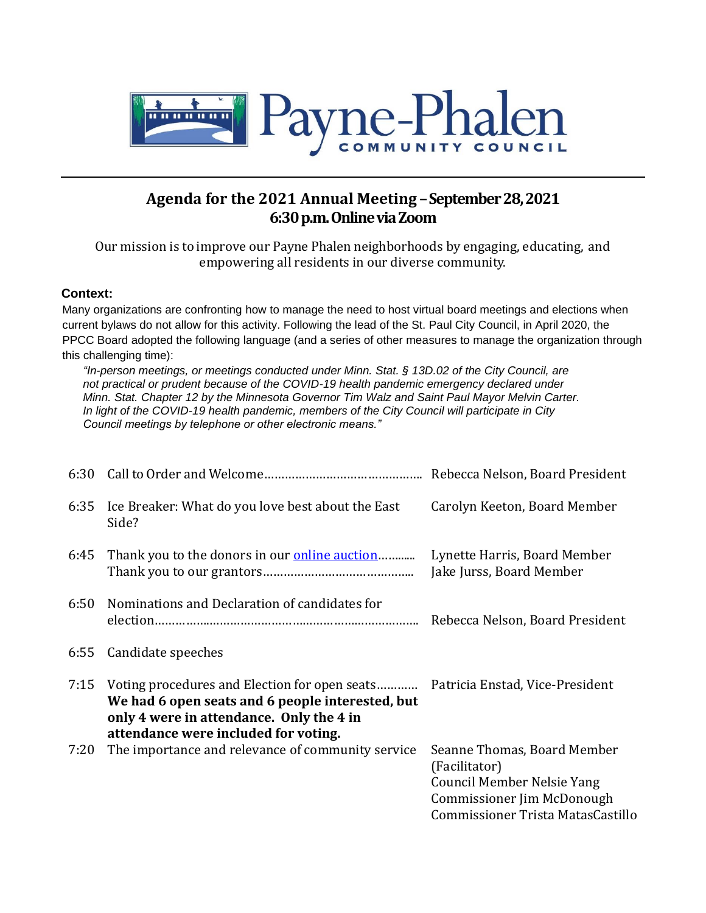

## **Agenda for the 2021 Annual Meeting –September 28, 2021 6:30 p.m. Online via Zoom**

Our mission is to improve our Payne Phalen neighborhoods by engaging, educating, and empowering all residents in our diverse community.

## **Context:**

Many organizations are confronting how to manage the need to host virtual board meetings and elections when current bylaws do not allow for this activity. Following the lead of the St. Paul City Council, in April 2020, the PPCC Board adopted the following language (and a series of other measures to manage the organization through this challenging time):

*"In-person meetings, or meetings conducted under Minn. Stat. § 13D.02 of the City Council, are not practical or prudent because of the COVID-19 health pandemic emergency declared under Minn. Stat. Chapter 12 by the Minnesota Governor Tim Walz and Saint Paul Mayor Melvin Carter. In light of the COVID-19 health pandemic, members of the City Council will participate in City Council meetings by telephone or other electronic means."* 

| 6:30 |                                                                                                                                                                                                                       |                                                                                                                                                      |
|------|-----------------------------------------------------------------------------------------------------------------------------------------------------------------------------------------------------------------------|------------------------------------------------------------------------------------------------------------------------------------------------------|
| 6:35 | Ice Breaker: What do you love best about the East<br>Side?                                                                                                                                                            | Carolyn Keeton, Board Member                                                                                                                         |
| 6:45 | Thank you to the donors in our <b>online auction</b>                                                                                                                                                                  | Lynette Harris, Board Member<br>Jake Jurss, Board Member                                                                                             |
| 6:50 | Nominations and Declaration of candidates for                                                                                                                                                                         | Rebecca Nelson, Board President                                                                                                                      |
| 6:55 | Candidate speeches                                                                                                                                                                                                    |                                                                                                                                                      |
| 7:15 | Voting procedures and Election for open seats Patricia Enstad, Vice-President<br>We had 6 open seats and 6 people interested, but<br>only 4 were in attendance. Only the 4 in<br>attendance were included for voting. |                                                                                                                                                      |
| 7:20 | The importance and relevance of community service                                                                                                                                                                     | Seanne Thomas, Board Member<br>(Facilitator)<br><b>Council Member Nelsie Yang</b><br>Commissioner Jim McDonough<br>Commissioner Trista MatasCastillo |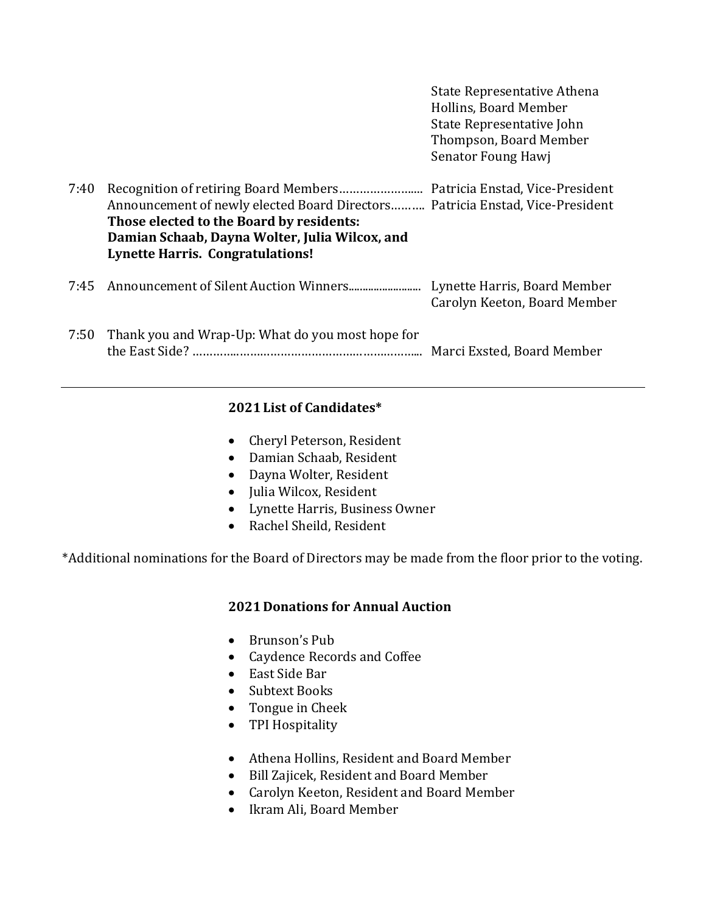|      |                                                                                                                                                                                                                        | state Representative Attiena<br>Hollins, Board Member<br>State Representative John<br>Thompson, Board Member<br>Senator Foung Hawj |
|------|------------------------------------------------------------------------------------------------------------------------------------------------------------------------------------------------------------------------|------------------------------------------------------------------------------------------------------------------------------------|
| 7:40 | Announcement of newly elected Board Directors Patricia Enstad, Vice-President<br>Those elected to the Board by residents:<br>Damian Schaab, Dayna Wolter, Julia Wilcox, and<br><b>Lynette Harris. Congratulations!</b> |                                                                                                                                    |
| 7:45 |                                                                                                                                                                                                                        | Lynette Harris, Board Member<br>Carolyn Keeton, Board Member                                                                       |
| 7:50 | Thank you and Wrap-Up: What do you most hope for                                                                                                                                                                       | Marci Exsted, Board Member                                                                                                         |

State Representative Athena

## **2021 List of Candidates\***

- Cheryl Peterson, Resident
- Damian Schaab, Resident
- Dayna Wolter, Resident
- Julia Wilcox, Resident
- Lynette Harris, Business Owner
- Rachel Sheild, Resident

\*Additional nominations for the Board of Directors may be made from the floor prior to the voting.

## **2021 Donations for Annual Auction**

- Brunson's Pub
- Caydence Records and Coffee
- East Side Bar
- Subtext Books
- Tongue in Cheek
- TPI Hospitality
- Athena Hollins, Resident and Board Member
- Bill Zajicek, Resident and Board Member
- Carolyn Keeton, Resident and Board Member
- Ikram Ali, Board Member